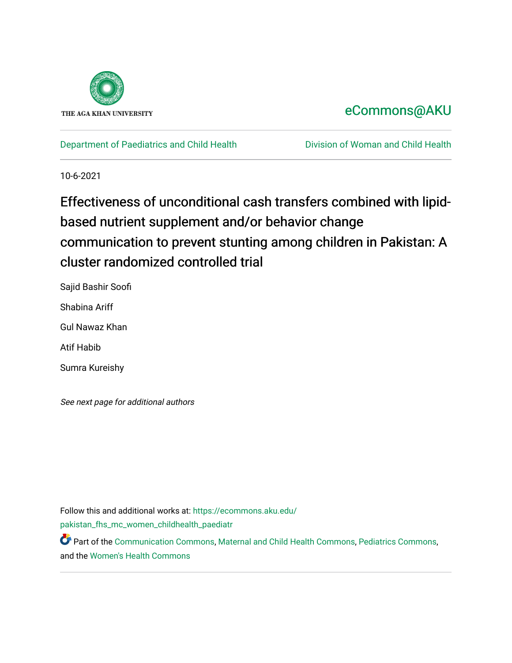

## [eCommons@AKU](https://ecommons.aku.edu/)

[Department of Paediatrics and Child Health](https://ecommons.aku.edu/pakistan_fhs_mc_women_childhealth_paediatr) **Division of Woman and Child Health** 

10-6-2021

# Effectiveness of unconditional cash transfers combined with lipidbased nutrient supplement and/or behavior change communication to prevent stunting among children in Pakistan: A cluster randomized controlled trial

Sajid Bashir Soofi Shabina Ariff Gul Nawaz Khan Atif Habib Sumra Kureishy

See next page for additional authors

Follow this and additional works at: [https://ecommons.aku.edu/](https://ecommons.aku.edu/pakistan_fhs_mc_women_childhealth_paediatr?utm_source=ecommons.aku.edu%2Fpakistan_fhs_mc_women_childhealth_paediatr%2F1092&utm_medium=PDF&utm_campaign=PDFCoverPages) [pakistan\\_fhs\\_mc\\_women\\_childhealth\\_paediatr](https://ecommons.aku.edu/pakistan_fhs_mc_women_childhealth_paediatr?utm_source=ecommons.aku.edu%2Fpakistan_fhs_mc_women_childhealth_paediatr%2F1092&utm_medium=PDF&utm_campaign=PDFCoverPages) 

Part of the [Communication Commons,](http://network.bepress.com/hgg/discipline/325?utm_source=ecommons.aku.edu%2Fpakistan_fhs_mc_women_childhealth_paediatr%2F1092&utm_medium=PDF&utm_campaign=PDFCoverPages) [Maternal and Child Health Commons,](http://network.bepress.com/hgg/discipline/745?utm_source=ecommons.aku.edu%2Fpakistan_fhs_mc_women_childhealth_paediatr%2F1092&utm_medium=PDF&utm_campaign=PDFCoverPages) [Pediatrics Commons](http://network.bepress.com/hgg/discipline/700?utm_source=ecommons.aku.edu%2Fpakistan_fhs_mc_women_childhealth_paediatr%2F1092&utm_medium=PDF&utm_campaign=PDFCoverPages), and the [Women's Health Commons](http://network.bepress.com/hgg/discipline/1241?utm_source=ecommons.aku.edu%2Fpakistan_fhs_mc_women_childhealth_paediatr%2F1092&utm_medium=PDF&utm_campaign=PDFCoverPages)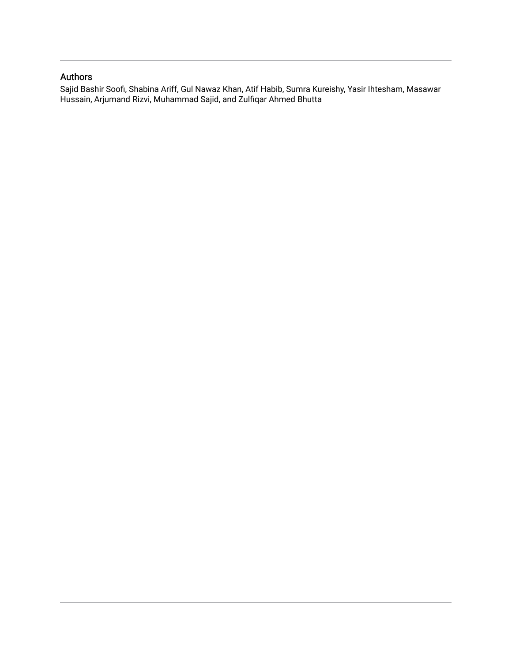### Authors

Sajid Bashir Soofi, Shabina Ariff, Gul Nawaz Khan, Atif Habib, Sumra Kureishy, Yasir Ihtesham, Masawar Hussain, Arjumand Rizvi, Muhammad Sajid, and Zulfiqar Ahmed Bhutta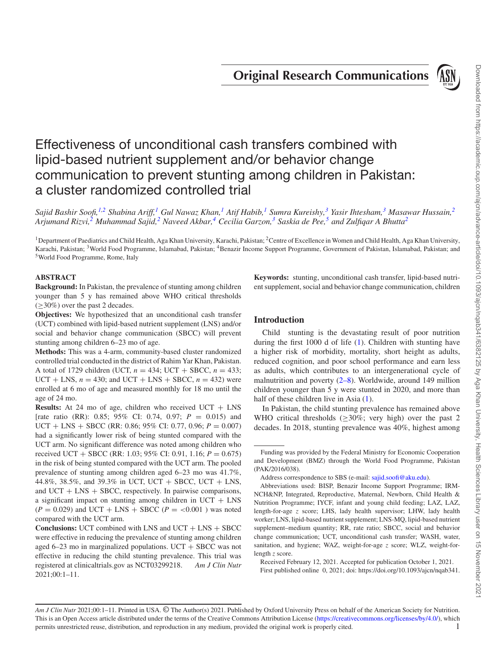**Original Research Communications**



## Effectiveness of unconditional cash transfers combined with lipid-based nutrient supplement and/or behavior change communication to prevent stunting among children in Pakistan: a cluster randomized controlled trial

Sajid Bashir Soofi,<sup>[1,](#page-2-0)[2](#page-2-1)</sup> Shabina Ariff,<sup>[1](#page-2-0)</sup> Gul Nawaz Khan,<sup>1</sup> Atif Habib,<sup>1</sup> Sumra Kureishy,<sup>[3](#page-2-2)</sup> Yasir Ihtesham,<sup>3</sup> Masawar Hussain,<sup>2</sup> *Arjumand Rizvi,[2](#page-2-1) Muhammad Sajid[,2](#page-2-1) Naveed Akbar[,4](#page-2-3) Cecilia Garzon,[3](#page-2-2) Saskia de Pee[,5](#page-2-4) and Zulfiqar A Bhutt[a2](#page-2-1)*

<span id="page-2-2"></span><span id="page-2-0"></span><sup>1</sup>Department of Paediatrics and Child Health, Aga Khan University, Karachi, Pakistan; <sup>2</sup>Centre of Excellence in Women and Child Health, Aga Khan University, Karachi, Pakistan; 3World Food Programme, Islamabad, Pakistan; 4Benazir Income Support Programme, Government of Pakistan, Islamabad, Pakistan; and 5World Food Programme, Rome, Italy

#### <span id="page-2-4"></span>**ABSTRACT**

**Background:** In Pakistan, the prevalence of stunting among children younger than 5 y has remained above WHO critical thresholds  $(\geq 30\%)$  over the past 2 decades.

**Objectives:** We hypothesized that an unconditional cash transfer (UCT) combined with lipid-based nutrient supplement (LNS) and/or social and behavior change communication (SBCC) will prevent stunting among children 6–23 mo of age.

**Methods:** This was a 4-arm, community-based cluster randomized controlled trial conducted in the district of Rahim Yar Khan, Pakistan. A total of 1729 children (UCT,  $n = 434$ ; UCT + SBCC,  $n = 433$ ;  $UCT + LNS$ ,  $n = 430$ ; and  $UCT + LNS + SBCC$ ,  $n = 432$ ) were enrolled at 6 mo of age and measured monthly for 18 mo until the age of 24 mo.

**Results:** At 24 mo of age, children who received UCT + LNS [rate ratio (RR): 0.85; 95% CI: 0.74, 0.97; *P* = 0.015) and  $UCT + LNS + SBCC$  (RR: 0.86; 95% CI: 0.77, 0.96;  $P = 0.007$ ) had a significantly lower risk of being stunted compared with the UCT arm. No significant difference was noted among children who received UCT + SBCC (RR: 1.03; 95% CI: 0.91, 1.16; *P* = 0.675) in the risk of being stunted compared with the UCT arm. The pooled prevalence of stunting among children aged 6–23 mo was 41.7%, 44.8%, 38.5%, and 39.3% in UCT, UCT + SBCC, UCT + LNS, and  $UCT + LNS + SBCC$ , respectively. In pairwise comparisons, a significant impact on stunting among children in  $UCT + LNS$  $(P = 0.029)$  and UCT + LNS + SBCC  $(P = < 0.001)$  was noted compared with the UCT arm.

**Conclusions:** UCT combined with LNS and UCT + LNS + SBCC were effective in reducing the prevalence of stunting among children aged  $6-23$  mo in marginalized populations. UCT  $+$  SBCC was not effective in reducing the child stunting prevalence. This trial was registered at clinicaltrials.gov as NCT03299218. *Am J Clin Nutr* 2021;00:1–11.

<span id="page-2-3"></span><span id="page-2-1"></span>**Keywords:** stunting, unconditional cash transfer, lipid-based nutrient supplement, social and behavior change communication, children

#### **Introduction**

Child stunting is the devastating result of poor nutrition during the first 1000 d of life [\(1\)](#page-11-0). Children with stunting have a higher risk of morbidity, mortality, short height as adults, reduced cognition, and poor school performance and earn less as adults, which contributes to an intergenerational cycle of malnutrition and poverty  $(2-8)$ . Worldwide, around 149 million children younger than 5 y were stunted in 2020, and more than half of these children live in Asia  $(1)$ .

In Pakistan, the child stunting prevalence has remained above WHO critical thresholds ( $\geq$ 30%; very high) over the past 2 decades. In 2018, stunting prevalence was 40%, highest among

Received February 12, 2021. Accepted for publication October 1, 2021. First published online 0, 2021; doi: https://doi.org/10.1093/ajcn/nqab341.

Funding was provided by the Federal Ministry for Economic Cooperation and Development (BMZ) through the World Food Programme, Pakistan (PAK/2016/038).

Address correspondence to SBS (e-mail: [sajid.soofi@aku.edu\)](mailto:sajid.soofi@aku.edu).

Abbreviations used: BISP, Benazir Income Support Programme; IRM-NCH&NP, Integrated, Reproductive, Maternal, Newborn, Child Health & Nutrition Programme; IYCF, infant and young child feeding; LAZ, LAZ, length-for-age *z* score; LHS, lady health supervisor; LHW, lady health worker; LNS, lipid-based nutrient supplement; LNS-MQ, lipid-based nutrient supplement–medium quantity; RR, rate ratio; SBCC, social and behavior change communication; UCT, unconditional cash transfer; WASH, water, sanitation, and hygiene; WAZ, weight-for-age *z* score; WLZ, weight-forlength *z* score.

*Am J Clin Nutr* 2021;00:1–11. Printed in USA. © The Author(s) 2021. Published by Oxford University Press on behalf of the American Society for Nutrition. This is an Open Access article distributed under the terms of the Creative Commons Attribution License [\(https://creativecommons.org/licenses/by/4.0/\)](https://creativecommons.org/licenses/by/4.0/), which permits unrestricted reuse, distribution, and reproduction in any medium, provided the original work is properly cited. 1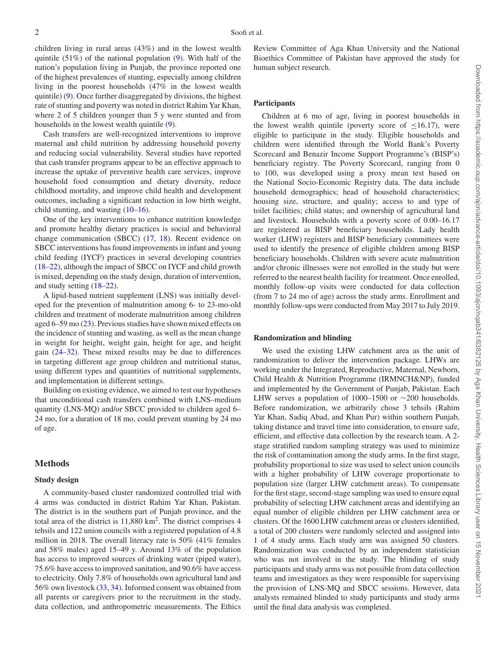children living in rural areas (43%) and in the lowest wealth quintile (51%) of the national population [\(9\)](#page-11-2). With half of the nation's population living in Punjab, the province reported one of the highest prevalences of stunting, especially among children living in the poorest households (47% in the lowest wealth quintile) [\(9\)](#page-11-2). Once further disaggregated by divisions, the highest rate of stunting and poverty was noted in district Rahim Yar Khan, where 2 of 5 children younger than 5 y were stunted and from households in the lowest wealth quintile [\(9\)](#page-11-2).

Cash transfers are well-recognized interventions to improve maternal and child nutrition by addressing household poverty and reducing social vulnerability. Several studies have reported that cash transfer programs appear to be an effective approach to increase the uptake of preventive health care services, improve household food consumption and dietary diversity, reduce childhood mortality, and improve child health and development outcomes, including a significant reduction in low birth weight, child stunting, and wasting [\(10–16\)](#page-11-3).

One of the key interventions to enhance nutrition knowledge and promote healthy dietary practices is social and behavioral change communication (SBCC) [\(17,](#page-11-4) [18\)](#page-12-0). Recent evidence on SBCC interventions has found improvements in infant and young child feeding (IYCF) practices in several developing countries [\(18–22\)](#page-12-0), although the impact of SBCC on IYCF and child growth is mixed, depending on the study design, duration of intervention, and study setting [\(18–22\)](#page-12-0).

A lipid-based nutrient supplement (LNS) was initially developed for the prevention of malnutrition among 6- to 23-mo-old children and treatment of moderate malnutrition among children aged 6–59 mo [\(23\)](#page-12-1). Previous studies have shown mixed effects on the incidence of stunting and wasting, as well as the mean change in weight for height, weight gain, height for age, and height gain [\(24–32\)](#page-12-2). These mixed results may be due to differences in targeting different age group children and nutritional status, using different types and quantities of nutritional supplements, and implementation in different settings.

Building on existing evidence, we aimed to test our hypotheses that unconditional cash transfers combined with LNS–medium quantity (LNS-MQ) and/or SBCC provided to children aged 6– 24 mo, for a duration of 18 mo, could prevent stunting by 24 mo of age.

#### **Methods**

#### **Study design**

A community-based cluster randomized controlled trial with 4 arms was conducted in district Rahim Yar Khan, Pakistan. The district is in the southern part of Punjab province, and the total area of the district is  $11,880 \text{ km}^2$ . The district comprises 4 tehsils and 122 union councils with a registered population of 4.8 million in 2018. The overall literacy rate is 50% (41% females and 58% males) aged 15–49 y. Around 13% of the population has access to improved sources of drinking water (piped water), 75.6% have access to improved sanitation, and 90.6% have access to electricity. Only 7.8% of households own agricultural land and 56% own livestock [\(33,](#page-12-3) [34\)](#page-12-4). Informed consent was obtained from all parents or caregivers prior to the recruitment in the study, data collection, and anthropometric measurements. The Ethics Review Committee of Aga Khan University and the National Bioethics Committee of Pakistan have approved the study for human subject research.

#### **Participants**

Children at 6 mo of age, living in poorest households in the lowest wealth quintile (poverty score of  $\leq 16.17$ ), were eligible to participate in the study. Eligible households and children were identified through the World Bank's Poverty Scorecard and Benazir Income Support Programme's (BISP's) beneficiary registry. The Poverty Scorecard, ranging from 0 to 100, was developed using a proxy mean test based on the National Socio-Economic Registry data. The data include household demographics; head of household characteristics; housing size, structure, and quality; access to and type of toilet facilities; child status; and ownership of agricultural land and livestock. Households with a poverty score of 0.00–16.17 are registered as BISP beneficiary households. Lady health worker (LHW) registers and BISP beneficiary committees were used to identify the presence of eligible children among BISP beneficiary households. Children with severe acute malnutrition and/or chronic illnesses were not enrolled in the study but were referred to the nearest health facility for treatment. Once enrolled, monthly follow-up visits were conducted for data collection (from 7 to 24 mo of age) across the study arms. Enrollment and monthly follow-ups were conducted from May 2017 to July 2019.

#### **Randomization and blinding**

We used the existing LHW catchment area as the unit of randomization to deliver the intervention package. LHWs are working under the Integrated, Reproductive, Maternal, Newborn, Child Health & Nutrition Programme (IRMNCH&NP), funded and implemented by the Government of Punjab, Pakistan. Each LHW serves a population of 1000–1500 or  $\sim$ 200 households. Before randomization, we arbitrarily chose 3 tehsils (Rahim Yar Khan, Sadiq Abad, and Khan Pur) within southern Punjab, taking distance and travel time into consideration, to ensure safe, efficient, and effective data collection by the research team. A 2 stage stratified random sampling strategy was used to minimize the risk of contamination among the study arms. In the first stage, probability proportional to size was used to select union councils with a higher probability of LHW coverage proportionate to population size (larger LHW catchment areas). To compensate for the first stage, second-stage sampling was used to ensure equal probability of selecting LHW catchment areas and identifying an equal number of eligible children per LHW catchment area or clusters. Of the 1600 LHW catchment areas or clusters identified, a total of 200 clusters were randomly selected and assigned into 1 of 4 study arms. Each study arm was assigned 50 clusters. Randomization was conducted by an independent statistician who was not involved in the study. The blinding of study participants and study arms was not possible from data collection teams and investigators as they were responsible for supervising the provision of LNS-MQ and SBCC sessions. However, data analysts remained blinded to study participants and study arms until the final data analysis was completed.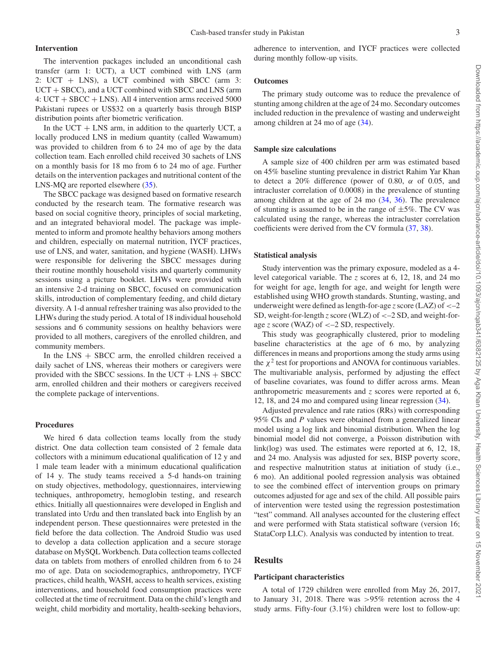#### **Intervention**

The intervention packages included an unconditional cash transfer (arm 1: UCT), a UCT combined with LNS (arm 2: UCT + LNS), a UCT combined with SBCC (arm 3: UCT + SBCC), and a UCT combined with SBCC and LNS (arm 4:  $UCT + SBCC + LNS$ ). All 4 intervention arms received 5000 Pakistani rupees or US\$32 on a quarterly basis through BISP distribution points after biometric verification.

In the  $UCT + LNS$  arm, in addition to the quarterly UCT, a locally produced LNS in medium quantity (called Wawamum) was provided to children from 6 to 24 mo of age by the data collection team. Each enrolled child received 30 sachets of LNS on a monthly basis for 18 mo from 6 to 24 mo of age. Further details on the intervention packages and nutritional content of the LNS-MQ are reported elsewhere  $(35)$ .

The SBCC package was designed based on formative research conducted by the research team. The formative research was based on social cognitive theory, principles of social marketing, and an integrated behavioral model. The package was implemented to inform and promote healthy behaviors among mothers and children, especially on maternal nutrition, IYCF practices, use of LNS, and water, sanitation, and hygiene (WASH). LHWs were responsible for delivering the SBCC messages during their routine monthly household visits and quarterly community sessions using a picture booklet. LHWs were provided with an intensive 2-d training on SBCC, focused on communication skills, introduction of complementary feeding, and child dietary diversity. A 1-d annual refresher training was also provided to the LHWs during the study period. A total of 18 individual household sessions and 6 community sessions on healthy behaviors were provided to all mothers, caregivers of the enrolled children, and community members.

In the LNS  $+$  SBCC arm, the enrolled children received a daily sachet of LNS, whereas their mothers or caregivers were provided with the SBCC sessions. In the  $UCT + LNS + SBCC$ arm, enrolled children and their mothers or caregivers received the complete package of interventions.

#### **Procedures**

We hired 6 data collection teams locally from the study district. One data collection team consisted of 2 female data collectors with a minimum educational qualification of 12 y and 1 male team leader with a minimum educational qualification of 14 y. The study teams received a 5-d hands-on training on study objectives, methodology, questionnaires, interviewing techniques, anthropometry, hemoglobin testing, and research ethics. Initially all questionnaires were developed in English and translated into Urdu and then translated back into English by an independent person. These questionnaires were pretested in the field before the data collection. The Android Studio was used to develop a data collection application and a secure storage database on MySQL Workbench. Data collection teams collected data on tablets from mothers of enrolled children from 6 to 24 mo of age. Data on sociodemographics, anthropometry, IYCF practices, child health, WASH, access to health services, existing interventions, and household food consumption practices were collected at the time of recruitment. Data on the child's length and weight, child morbidity and mortality, health-seeking behaviors,

adherence to intervention, and IYCF practices were collected during monthly follow-up visits.

#### **Outcomes**

The primary study outcome was to reduce the prevalence of stunting among children at the age of 24 mo. Secondary outcomes included reduction in the prevalence of wasting and underweight among children at 24 mo of age [\(34\)](#page-12-4).

#### **Sample size calculations**

A sample size of 400 children per arm was estimated based on 45% baseline stunting prevalence in district Rahim Yar Khan to detect a 20% difference (power of 0.80,  $\alpha$  of 0.05, and intracluster correlation of 0.0008) in the prevalence of stunting among children at the age of 24 mo [\(34,](#page-12-4) [36\)](#page-12-6). The prevalence of stunting is assumed to be in the range of  $\pm 5\%$ . The CV was calculated using the range, whereas the intracluster correlation coefficients were derived from the CV formula [\(37,](#page-12-7) [38\)](#page-12-8).

#### **Statistical analysis**

Study intervention was the primary exposure, modeled as a 4 level categorical variable. The *z* scores at 6, 12, 18, and 24 mo for weight for age, length for age, and weight for length were established using WHO growth standards. Stunting, wasting, and underweight were defined as length-for-age *z* score (LAZ) of <-2 SD, weight-for-length *z* score (WLZ) of  $\lt$  -2 SD, and weight-forage *z* score (WAZ) of <–2 SD, respectively.

This study was geographically clustered, prior to modeling baseline characteristics at the age of 6 mo, by analyzing differences in means and proportions among the study arms using the  $\chi^2$  test for proportions and ANOVA for continuous variables. The multivariable analysis, performed by adjusting the effect of baseline covariates, was found to differ across arms. Mean anthropometric measurements and *z* scores were reported at 6, 12, 18, and 24 mo and compared using linear regression [\(34\)](#page-12-4).

Adjusted prevalence and rate ratios (RRs) with corresponding 95% CIs and *P* values were obtained from a generalized linear model using a log link and binomial distribution. When the log binomial model did not converge, a Poisson distribution with link(log) was used. The estimates were reported at 6, 12, 18, and 24 mo. Analysis was adjusted for sex, BISP poverty score, and respective malnutrition status at initiation of study (i.e., 6 mo). An additional pooled regression analysis was obtained to see the combined effect of intervention groups on primary outcomes adjusted for age and sex of the child. All possible pairs of intervention were tested using the regression postestimation "test" command. All analyses accounted for the clustering effect and were performed with Stata statistical software (version 16; StataCorp LLC). Analysis was conducted by intention to treat.

#### **Results**

#### **Participant characteristics**

A total of 1729 children were enrolled from May 26, 2017, to January 31, 2018. There was >95% retention across the 4 study arms. Fifty-four (3.1%) children were lost to follow-up: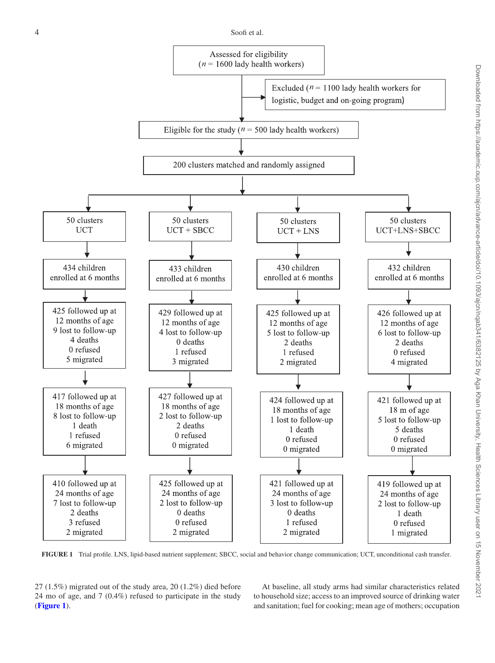<span id="page-5-0"></span>

**FIGURE 1** Trial profile. LNS, lipid-based nutrient supplement; SBCC, social and behavior change communication; UCT, unconditional cash transfer.

27 (1.5%) migrated out of the study area, 20 (1.2%) died before 24 mo of age, and 7 (0.4%) refused to participate in the study (**[Figure 1](#page-5-0)**).

At baseline, all study arms had similar characteristics related to household size; access to an improved source of drinking water and sanitation; fuel for cooking; mean age of mothers; occupation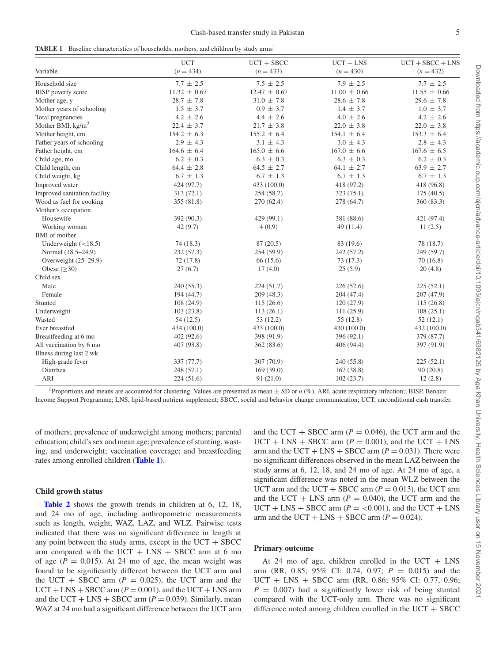<span id="page-6-1"></span>

|  | <b>TABLE 1</b> Baseline characteristics of households, mothers, and children by study arms <sup>1</sup> |  |
|--|---------------------------------------------------------------------------------------------------------|--|
|--|---------------------------------------------------------------------------------------------------------|--|

|                              | <b>UCT</b>       | $UCT + SBCC$     | $UCT + LNS$      | $UCT + SBCC + LNS$ |
|------------------------------|------------------|------------------|------------------|--------------------|
| Variable                     | $(n = 434)$      | $(n = 433)$      | $(n = 430)$      | $(n = 432)$        |
| Household size               | $7.7 \pm 2.5$    | $7.5 \pm 2.5$    | $7.9 \pm 2.5$    | $7.7 \pm 2.5$      |
| <b>BISP</b> poverty score    | $11.32 \pm 0.67$ | $12.47 \pm 0.67$ | $11.00 \pm 0.66$ | $11.55 \pm 0.66$   |
| Mother age, y                | $28.7 \pm 7.8$   | $31.0 \pm 7.8$   | $28.6 \pm 7.8$   | $29.6 \pm 7.8$     |
| Mother years of schooling    | $1.5 \pm 3.7$    | $0.9 \pm 3.7$    | $1.4 \pm 3.7$    | $1.0 \pm 3.7$      |
| Total pregnancies            | $4.2 \pm 2.6$    | $4.4 \pm 2.6$    | $4.0 \pm 2.6$    | $4.2 \pm 2.6$      |
| Mother BMI, $\text{kg/m}^2$  | $22.4 \pm 3.7$   | $21.7 \pm 3.8$   | $22.0 \pm 3.8$   | $22.0 \pm 3.8$     |
| Mother height, cm            | $154.2 \pm 6.3$  | $155.2 \pm 6.4$  | $154.1 \pm 6.4$  | $153.3 \pm 6.4$    |
| Father years of schooling    | $2.9 \pm 4.3$    | $3.1 \pm 4.3$    | $3.0 \pm 4.3$    | $2.8 \pm 4.3$      |
| Father height, cm            | $164.6 \pm 6.4$  | $165.0 \pm 6.6$  | $167.0 \pm 6.6$  | $167.6 \pm 6.5$    |
| Child age, mo                | $6.2 \pm 0.3$    | $6.3 \pm 0.3$    | $6.3 \pm 0.3$    | $6.2 \pm 0.3$      |
| Child length, cm             | $64.4 \pm 2.8$   | $64.5 \pm 2.7$   | $64.1 \pm 2.7$   | $63.9 \pm 2.7$     |
| Child weight, kg             | $6.7 \pm 1.3$    | $6.7 \pm 1.3$    | $6.7 \pm 1.3$    | $6.7 \pm 1.3$      |
| Improved water               | 424 (97.7)       | 433 (100.0)      | 418 (97.2)       | 418 (96.8)         |
| Improved sanitation facility | 313(72.1)        | 254(58.7)        | 323(75.1)        | 175(40.5)          |
| Wood as fuel for cooking     | 355 (81.8)       | 270 (62.4)       | 278 (64.7)       | 360(83.3)          |
| Mother's occupation          |                  |                  |                  |                    |
| Housewife                    | 392 (90.3)       | 429 (99.1)       | 381 (88.6)       | 421 (97.4)         |
| Working woman                | 42(9.7)          | 4(0.9)           | 49(11.4)         | 11(2.5)            |
| <b>BMI</b> of mother         |                  |                  |                  |                    |
| Underweight $(< 18.5)$       | 74(18.3)         | 87 (20.5)        | 83 (19.6)        | 78 (18.7)          |
| Normal (18.5–24.9)           | 232(57.3)        | 254 (59.9)       | 242 (57.2)       | 249 (59.7)         |
| Overweight (25-29.9)         | 72(17.8)         | 66 (15.6)        | 73(17.3)         | 70(16.8)           |
| Obese $(\geq 30)$            | 27(6.7)          | 17(4.0)          | 25(5.9)          | 20(4.8)            |
| Child sex                    |                  |                  |                  |                    |
| Male                         | 240(55.3)        | 224(51.7)        | 226(52.6)        | 225(52.1)          |
| Female                       | 194 (44.7)       | 209(48.3)        | 204 (47.4)       | 207(47.9)          |
| Stunted                      | 108(24.9)        | 115(26.6)        | 120(27.9)        | 115(26.8)          |
| Underweight                  | 103(23.8)        | 113(26.1)        | 111(25.9)        | 108(25.1)          |
| Wasted                       | 54(12.5)         | 53(12.2)         | 55(12.8)         | 52(12.1)           |
| Ever breastfed               | 434 (100.0)      | 433 (100.0)      | 430 (100.0)      | 432 (100.0)        |
| Breastfeeding at 6 mo        | 402(92.6)        | 398 (91.9)       | 396 (92.1)       | 379 (87.7)         |
| All vaccination by 6 mo      | 407 (93.8)       | 362 (83.6)       | 406 (94.4)       | 397 (91.9)         |
| Illness during last 2 wk     |                  |                  |                  |                    |
| High-grade fever             | 337 (77.7)       | 307 (70.9)       | 240 (55.8)       | 225(52.1)          |
| Diarrhea                     | 248(57.1)        | 169(39.0)        | 167(38.8)        | 90(20.8)           |
| ARI                          | 224(51.6)        | 91(21.0)         | 102(23.7)        | 12(2.8)            |

<span id="page-6-0"></span><sup>1</sup>Proportions and means are accounted for clustering. Values are presented as mean  $\pm$  SD or *n* (%). ARI, acute respiratory infection;; BISP, Benazir Income Support Programme; LNS, lipid-based nutrient supplement; SBCC, social and behavior change communication; UCT, unconditional cash transfer.

of mothers; prevalence of underweight among mothers; parental education; child's sex and mean age; prevalence of stunting, wasting, and underweight; vaccination coverage; and breastfeeding rates among enrolled children (**[Table 1](#page-6-1)**).

#### **Child growth status**

**[Table 2](#page-7-0)** shows the growth trends in children at 6, 12, 18, and 24 mo of age, including anthropometric measurements such as length, weight, WAZ, LAZ, and WLZ. Pairwise tests indicated that there was no significant difference in length at any point between the study arms, except in the  $UCT + SBCC$ arm compared with the UCT  $+$  LNS  $+$  SBCC arm at 6 mo of age  $(P = 0.015)$ . At 24 mo of age, the mean weight was found to be significantly different between the UCT arm and the UCT + SBCC arm  $(P = 0.025)$ , the UCT arm and the  $UCT + LNS + SBCC$  arm ( $P = 0.001$ ), and the UCT + LNS arm and the UCT + LNS + SBCC arm  $(P = 0.039)$ . Similarly, mean WAZ at 24 mo had a significant difference between the UCT arm and the UCT + SBCC arm  $(P = 0.046)$ , the UCT arm and the  $UCT + LNS + SBCC$  arm ( $P = 0.001$ ), and the UCT + LNS arm and the UCT + LNS + SBCC arm  $(P = 0.031)$ . There were no significant differences observed in the mean LAZ between the study arms at 6, 12, 18, and 24 mo of age. At 24 mo of age, a significant difference was noted in the mean WLZ between the UCT arm and the UCT + SBCC arm  $(P = 0.013)$ , the UCT arm and the UCT + LNS arm  $(P = 0.040)$ , the UCT arm and the  $UCT + LNS + SBCC$  arm ( $P = <0.001$ ), and the UCT + LNS arm and the UCT + LNS + SBCC arm  $(P = 0.024)$ .

#### **Primary outcome**

At 24 mo of age, children enrolled in the UCT  $+$  LNS arm (RR, 0.85; 95% CI: 0.74, 0.97; *P* = 0.015) and the UCT + LNS + SBCC arm (RR, 0.86; 95% CI: 0.77, 0.96;  $P = 0.007$ ) had a significantly lower risk of being stunted compared with the UCT-only arm. There was no significant difference noted among children enrolled in the  $UCT + SBCC$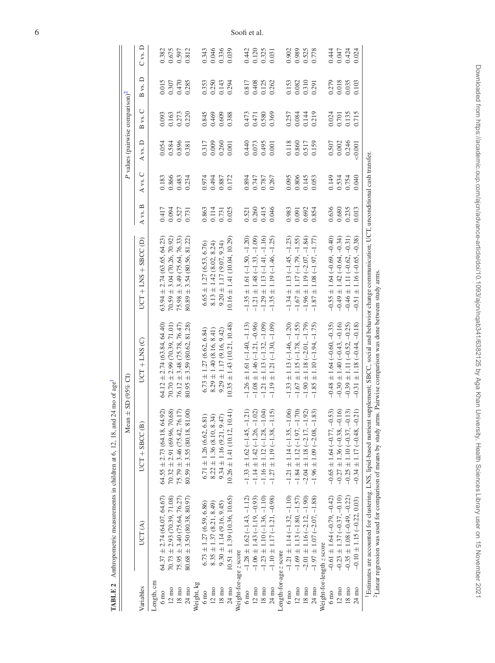|                        | TABLE 2 Anthropometric measurements in children at 6, 12, 18, an |                                                                                                                                                                                                                                                                                                                 | $d$ 24 mo of age <sup>1</sup>   |                                 |         |                |         |                                             |         |                         |
|------------------------|------------------------------------------------------------------|-----------------------------------------------------------------------------------------------------------------------------------------------------------------------------------------------------------------------------------------------------------------------------------------------------------------|---------------------------------|---------------------------------|---------|----------------|---------|---------------------------------------------|---------|-------------------------|
|                        |                                                                  | Mean $\pm$ SD (95% CI)                                                                                                                                                                                                                                                                                          |                                 |                                 |         |                |         | P values (pairwise comparison) <sup>2</sup> |         |                         |
| Variables              | UCT(A)                                                           | $UCT + SBCC(B)$                                                                                                                                                                                                                                                                                                 | $UCT + LNS$ (C)                 | $UCT + LNS + SBCCD$             | A vs. B | A vs. C        | A vs. D | vs. C<br>$\overline{\mathbf{r}}$            | B vs. D | $C$ vs. $D$             |
| Length, cm             |                                                                  |                                                                                                                                                                                                                                                                                                                 |                                 |                                 |         |                |         |                                             |         |                         |
| $6 \text{ mo}$         | 64.37 $\pm$ 2.74 (64.07, 64.67)                                  | $64.55 \pm 2.73(64.18, 64.92)$                                                                                                                                                                                                                                                                                  | $64.12 \pm 2.74$ (63.84, 64.40) | $63.94 \pm 2.74$ (63.65, 64.23) | 0.417   | 0.183          | 0.054   | 0.093                                       | 0.015   | 0.382                   |
| $12 \text{ mo}$        | $70.73 \pm 2.93$ (70.39, 71.08)                                  | $70.32 \pm 2.91$ (69.96, 70.68)                                                                                                                                                                                                                                                                                 | $70.70 \pm 2.99$ (70.39, 71.01) | $70.59 \pm 3.04$ (70.26, 70.92) | 0.094   | 0.866          | 0.584   |                                             | 0.307   |                         |
| $18 \text{ mo}$        | $75.95 \pm 3.40$ (75.64, 76.27)                                  | $75.79 \pm 3.46 (75.42, 76.17)$                                                                                                                                                                                                                                                                                 | $76.12 \pm 3.48$ (75.78, 76.47) | $75.98 \pm 3.49$ (75.64, 76.33) | 0.527   | 0.483          | 0.896   | 0.163<br>0.273                              | 0.470   | 0.675<br>0.597          |
| $24 \text{ mo}$        | $80.68 \pm 3.50(80.38, 80.97)$                                   | $80.59 \pm 3.55(80.18, 81.00)$                                                                                                                                                                                                                                                                                  | $80.95 \pm 3.59$ (80.62, 81.28) | $80.89 \pm 3.54 (80.56, 81.22)$ | 0.731   | 0.234          | 0.381   | 0.220                                       | 0.285   | 0.812                   |
| Weight, kg             |                                                                  |                                                                                                                                                                                                                                                                                                                 |                                 |                                 |         |                |         |                                             |         |                         |
| $6 \text{ mo}$         | $6.73 \pm 1.27$ (6.59, 6.86)                                     | $6.71 \pm 1.26$ (6.62, 6.81)                                                                                                                                                                                                                                                                                    | $6.73 \pm 1.27$ (6.62, 6.84)    | $6.65 \pm 1.27(6.53, 6.76)$     | 0.863   | 0.974          | 0.317   | 0.845                                       | 0.353   | 0.343                   |
| $12 \text{ mo}$        | $8.35 \pm 1.37(8.21, 8.49)$                                      | $8.22 \pm 1.36 \ (8.10, 8.34)$<br>9.34 $\pm$ 1.16 (9.21, 9.47)                                                                                                                                                                                                                                                  | $8.29 \pm 1.40$ (8.16, 8.41)    | $8.13 \pm 1.42 (8.02, 8.24)$    | 0.114   | 0.494          | 0.009   | 0.469                                       | 0.250   |                         |
| 18 <sub>mo</sub>       | $9.30 \pm 1.14 (9.16, 9.45)$                                     |                                                                                                                                                                                                                                                                                                                 | $9.29 \pm 1.17 (9.16, 9.42)$    | $9.20 \pm 1.17(9.07, 9.34)$     | 0.731   | 0.887          | 0.260   | 0.609                                       | 0.143   | 0.046<br>0.336<br>0.039 |
| $24 \text{ mo}$        | $10.51 \pm 1.39$ (10.36, 10.65)                                  | $10.26 \pm 1.41$ (10.12, 10.41)                                                                                                                                                                                                                                                                                 | $10.35 \pm 1.43$ (10.21, 10.48) | $10.16 \pm 1.41(10.04, 10.29)$  | 0.025   | 0.172          | 0.001   | 0.388                                       | 0.294   |                         |
| Weight-for-age z score |                                                                  |                                                                                                                                                                                                                                                                                                                 |                                 |                                 |         |                |         |                                             |         |                         |
| $6 \text{ mo}$         | $-1.28 \pm 1.62 (-1.43, -1.12)$                                  | (21)<br>$-1.33 \pm 1.62 (-1.45, -1)$                                                                                                                                                                                                                                                                            | $-1.26 \pm 1.61 (-1.40, -1.13)$ | $-1.35 \pm 1.61 (-1.50, -1.20)$ | 0.521   | 0.894          | 0.440   | 0.473                                       | 0.817   | 0.442                   |
| $12 \text{ mo}$        | $-1.06 \pm 1.43 (-1.19, -0.93)$                                  | $-1.14 \pm 1.42 (-1.26, -1.02)$                                                                                                                                                                                                                                                                                 | $-1.08 \pm 1.46 (-1.21, -0.96)$ | $-1.21 \pm 1.48 (-1.33, -1.09)$ | 0.260   | 0.747          | 0.073   | 0.471                                       | 0.408   | 0.120                   |
| 18 <sub>mo</sub>       | $-1.23 \pm 1.10 (-1.36, -1.10)$                                  | (0.1)<br>$-1.16 \pm 1.12$ (-1.28, -1                                                                                                                                                                                                                                                                            | $-1.21 \pm 1.13 (-1.32, -1.09)$ | $-1.29 \pm 1.13 (-1.41, -1.16)$ | 0.415   |                | 0.495   | 0.580                                       | 0.125   | $0.325$<br>$0.031$      |
| $24 \text{ mo}$        | $-1.10 \pm 1.17 (-1.21, -0.98)$                                  | 1.5<br>$-1.27 \pm 1.19 (-1.38, -1)$                                                                                                                                                                                                                                                                             | $-1.19 \pm 1.21 (-1.30, -1.09)$ | $-1.35 \pm 1.19 (-1.46, -1.25)$ | 0.046   | 0.787<br>0.267 | 0.001   | 0.369                                       | 0.262   |                         |
| Length-for-age z score |                                                                  |                                                                                                                                                                                                                                                                                                                 |                                 |                                 |         |                |         |                                             |         |                         |
| $6 \text{ mo}$         | $-1.21 \pm 1.14 (-1.32, -1.10)$                                  | $-1.21 \pm 1.14 (-1.35, -1.06)$                                                                                                                                                                                                                                                                                 | $-1.33 \pm 1.13 (-1.46, -1.20)$ | $-1.34 \pm 1.13 (-1.45, -1.23)$ | 0.983   | 0.095          | 0.118   | 0.257                                       | 0.153   | 0.902                   |
| $12 \text{ mo}$        | $-1.69 \pm 1.13 (-1.80, -1.57)$                                  | 1.70)<br>$-1.84 \pm 1.12$ ( $-1.97$ , $-1$                                                                                                                                                                                                                                                                      | $-1.67 \pm 1.15 (-1.78, -1.55)$ | $-1.67 \pm 1.17 (-1.79, -1.55)$ | 0.091   | 0.806          | 0.860   | 0.084                                       | 0.082   | 0.989                   |
| $18 \text{ mo}$        | $-2.01 \pm 1.16 (-2.12, -1.90)$                                  | (92)<br>$-2.04 \pm 1.18 (-2.17, -1)$                                                                                                                                                                                                                                                                            | $-1.90 \pm 1.18 (-2.01, -1.79)$ | $-1.96 \pm 1.19 (-2.07, -1.84)$ | 0.692   | 0.145          | 0.517   | 0.144                                       | 0.310   | 0.525                   |
| $24 \text{ mo}$        | $-1.97 \pm 1.07 (-2.07, -1.88)$                                  | $\dot{83}$<br>$-1.96 \pm 1.09$ ( $-2.08$ , $-$                                                                                                                                                                                                                                                                  | $-1.85 \pm 1.10 (-1.94, -1.75)$ | $-1.87 \pm 1.08 (-1.97, -1.77)$ | 0.854   | 0.053          | 0.159   | 0.219                                       | 0.291   | 0.778                   |
|                        | Weight-for-length z score                                        |                                                                                                                                                                                                                                                                                                                 |                                 |                                 |         |                |         |                                             |         |                         |
| $6 \text{ mo}$         | $-0.61 \pm 1.64 (-0.79, -0.42)$                                  | $-0.65 \pm 1.64 (-0.77, -0.53)$                                                                                                                                                                                                                                                                                 | $-0.48 \pm 1.64 (-0.60, -0.35)$ | $-0.55 \pm 1.64$ (-0.69, -0.40) | 0.636   | 0.149          | 0.507   | 0.024                                       | 0.279   | 0.444                   |
| $12 \text{ mo}$        | $-0.23 \pm 1.37 (-0.37, -0.10)$                                  | $-0.27 \pm 1.36 (-0.38, -0.16)$                                                                                                                                                                                                                                                                                 | $-0.30 \pm 1.40 (-0.43, -0.16)$ | $-0.49 \pm 1.42 (-0.64, -0.34)$ | 0.680   |                | 0.002   | $0.701\,$                                   | 0.018   | 0.047<br>0.424          |
| $18 \text{ mo}$        | $-0.35 \pm 1.08 (-0.49, -0.22)$                                  | $-0.25 \pm 1.10 (-0.37, -0.13)$                                                                                                                                                                                                                                                                                 | $-0.39 \pm 1.11 (-0.52, -0.25)$ | $-0.46 \pm 1.11 (-0.62, -0.31)$ | 0.235   | 0.534<br>0.754 | 0.246   | $0.135$<br>$0.715$                          | 0.035   |                         |
| $24 \text{ mo}$        | $-0.10 \pm 1.15 (-0.22, 0.03)$                                   | $-0.34 \pm 1.17 (-0.48, -0.21)$                                                                                                                                                                                                                                                                                 | $-0.31 \pm 1.18 (-0.44, -0.18)$ | $-0.51 \pm 1.16 (-0.65, -0.38)$ | 0.013   | 0.040          | 0.001   |                                             | 0.103   | 0.024                   |
|                        |                                                                  | <sup>1</sup> Estimates are accounted for clustering. LNS, lipid-based nutrient supplement; SBCC, social and behavior change communication; UCT, unconditional cash transfer.<br><sup>2</sup> Linear regression was used for comparison of means by study arms. Pairwise comparison was done between study arms. |                                 |                                 |         |                |         |                                             |         |                         |

<span id="page-7-2"></span><span id="page-7-1"></span><span id="page-7-0"></span>

6 Soofi et al.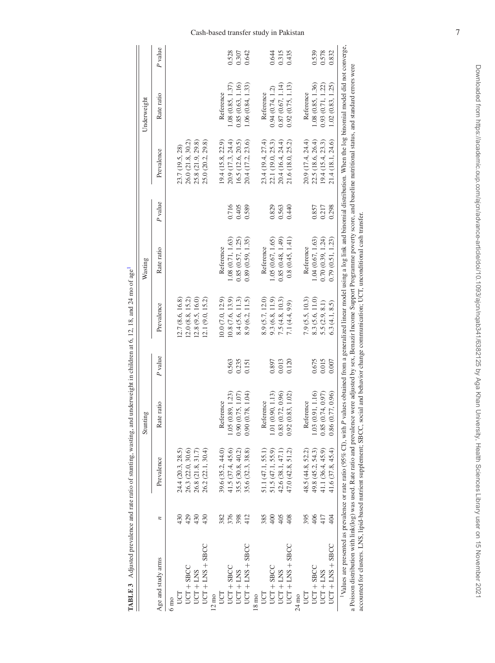|                                                                                                                                                                                                                                                                                                                                                                                                                                      |               |                   | Stunting             |         |                  | Wasting           |         |                   | Underweight       |         |
|--------------------------------------------------------------------------------------------------------------------------------------------------------------------------------------------------------------------------------------------------------------------------------------------------------------------------------------------------------------------------------------------------------------------------------------|---------------|-------------------|----------------------|---------|------------------|-------------------|---------|-------------------|-------------------|---------|
| Age and study arms                                                                                                                                                                                                                                                                                                                                                                                                                   | n             | Prevalence        | Rate ratio           | P value | Prevalence       | Rate ratio        | P value | Prevalence        | Rate ratio        | P value |
| $6 \text{ mo}$                                                                                                                                                                                                                                                                                                                                                                                                                       |               |                   |                      |         |                  |                   |         |                   |                   |         |
| UCT                                                                                                                                                                                                                                                                                                                                                                                                                                  | 430           | 24.4 (20.3, 28.5) |                      |         | 12.7(8.6, 16.8)  |                   |         | 23.7 (19.5, 28)   |                   |         |
| $UCT + SBCC$                                                                                                                                                                                                                                                                                                                                                                                                                         | 429           | 26.3 (22.0, 30.6) |                      |         | 12.0(8.8, 15.2)  |                   |         | 26.0 (21.8, 30.2) |                   |         |
| $UCT + LNS$                                                                                                                                                                                                                                                                                                                                                                                                                          | 430           | 26.8 (21.8, 31.7) |                      |         | 12.8(9.5, 16.0)  |                   |         | 25.8 (21.9, 29.8) |                   |         |
| $UCT + LNS + SBCC$                                                                                                                                                                                                                                                                                                                                                                                                                   | 430           | 26.2 (22.1, 30.4) |                      |         | 12.1(9.0, 15.2)  |                   |         | 25.0 (20.2, 29.8) |                   |         |
| $12 \text{ mo}$                                                                                                                                                                                                                                                                                                                                                                                                                      |               |                   |                      |         |                  |                   |         |                   |                   |         |
| <b>SCT</b>                                                                                                                                                                                                                                                                                                                                                                                                                           | 382           | 39.6 (35.2, 44.0) | Reference            |         | 10.0(7.0, 12.9)  | Reference         |         | 19.4(15.8, 22.9)  | Reference         |         |
| $UCT + SBCC$                                                                                                                                                                                                                                                                                                                                                                                                                         | 376           | 41.5 (37.4, 45.6) | 1.05(0.89, 1.23)     | 0.563   | (0.8(7.6, 13.9)) | 1.08(0.71, 1.63)  | 0.716   | 20.9(17.3, 24.4)  | 1.08(0.85, 1.37)  | 0.528   |
| $UCT + LNS$                                                                                                                                                                                                                                                                                                                                                                                                                          | 398           | 35.5 (30.8, 40.2) | (0.75, 1.07)<br>0.90 | 0.235   | 8.4(5.6, 11.3)   | 0.85(0.57, 1.25)  | 0.405   | 16.5 (12.6, 20.5) | 0.85(0.63, 1.16)  | 0.307   |
| $UCT + LNS + SBCC$                                                                                                                                                                                                                                                                                                                                                                                                                   | 412           | 35.6 (32.3, 38.8) | (0.78, 1.04)<br>0.90 | 0.151   | 8.9(6.2, 11.5)   | 0.89(0.59, 1.35)  | 0.589   | 20.4 (17.2, 23.6) | 1.06(0.84, 1.33)  | 0.642   |
| $18 \text{ mo}$                                                                                                                                                                                                                                                                                                                                                                                                                      |               |                   |                      |         |                  |                   |         |                   |                   |         |
| EQ                                                                                                                                                                                                                                                                                                                                                                                                                                   | 385           | 51.1 (47.1, 55.1) | Reference            |         | 8.9 (5.7, 12.0)  | Reference         |         | 23.4 (19.4, 27.4) | Reference         |         |
| $UCT + SBCC$                                                                                                                                                                                                                                                                                                                                                                                                                         | $rac{400}{2}$ | 51.5 (47.1, 55.9) | 1.01 (0.90, 1.13)    | 0.897   | 9.3(6.8, 11.9)   | 1.05 (0.67, 1.65) | 0.829   | 22.1 (19.0, 25.3) | 0.94(0.74, 1.2)   | 0.644   |
| $UCT + LNS$                                                                                                                                                                                                                                                                                                                                                                                                                          | 405           | 42.6 (38.1, 47.1  | (0.72, 0.96)<br>0.83 | 0.013   | 7.5(4.8, 10.3)   | 0.85(0.48, 1.49)  | 0.563   | 20.4 (16.4, 24.4) | 0.87(0.67, 1.14)  | 0.315   |
| $UCT + LNS + SBCC$                                                                                                                                                                                                                                                                                                                                                                                                                   | 408           | 47.0(42.8, 51.2)  | (0.83, 1.02)<br>0.92 | 0.120   | 7.1 (4.4, 9.9)   | 0.8(0.45, 1.41)   | 0.440   | 21.6 (18.0, 25.2) | 0.92(0.75, 1.13)  | 0.435   |
| $24 \text{ mo}$                                                                                                                                                                                                                                                                                                                                                                                                                      |               |                   |                      |         |                  |                   |         |                   |                   |         |
| EQ                                                                                                                                                                                                                                                                                                                                                                                                                                   | 395           | 48.5 (44.8, 52.2) | Reference            |         | 7.9 (5.5, 10.3)  | Reference         |         | 20.9 (17.4, 24.4) | Reference         |         |
| $UCT + SBCC$                                                                                                                                                                                                                                                                                                                                                                                                                         | 406           | 49.8 (45.2, 54.3) | 1.03 (0.91, 1.16)    | 0.675   | 8.3 (5.6, 11.0)  | 1.04(0.67, 1.63)  | 0.857   | 22.5 (18.6, 26.4) | 1.08 (0.85, 1.36) | 0.539   |
| $UCT + LNS$                                                                                                                                                                                                                                                                                                                                                                                                                          | 417           | 41.1 (36.4, 45.9) | (0.74, 0.97)<br>0.85 | 0.015   | 5.5(2.9, 8.1)    | 0.70(0.39, 1.24)  | 0.217   | 19.4(15.4, 23.3)  | 0.93(0.71, 1.22)  | 0.578   |
| $UCT + LNS + SBCC$                                                                                                                                                                                                                                                                                                                                                                                                                   | 404           | 41.6 (37.8, 45.4) | (0.77, 0.96)<br>0.86 | 0.007   | 6.3(4.1, 8.5)    | 0.79(0.51, 1.23)  | 0.298   | 21.4 (18.1, 24.6) | 1.02(0.83, 1.25)  | 0.832   |
| <sup>1</sup> Values are presented as prevalence or rate ratio (95% CI), with P values obtained from a generalized linear model using a log link and binomial distribution. When the log binomial model did not converge,<br>a Poisson distribution with link(log) was used. Rate ratio and prevalence were adjusted by sex, Benazir Income Support Programme poverty score, and baseline muritional stands, and standard errors were |               |                   |                      |         |                  |                   |         |                   |                   |         |

<span id="page-8-1"></span><span id="page-8-0"></span>TABLE 3 Adjusted prevalence and rate ratio of stunting, wasting, and underweight in children at 6, 12, 18, and 24 mo of age<sup>1</sup> **TABLE 3** Adjusted prevalence and rate ratio of stunting, wasting, and underweight in children at 6, 12, 18, and 24 mo of ag[e1](#page-8-0)

accounted for clusters. LNS, lipid-based nutrient supplement; SBCC, social and behavior change communication; UCT, unconditional cash transfer. accounted for clusters. LNS, lipid-based nutrient supplement; SBCC, social and behavior change communication; UCT, unconditional cash transfer.

#### Cash-based transfer study in Pakistan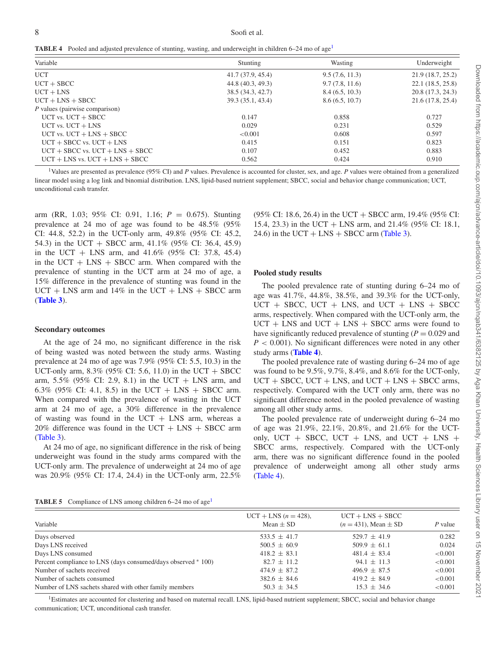<span id="page-9-1"></span>**TABLE 4** Pooled and adjusted prevalence of stunting, wasting, and underweight in children 6–24 mo of age<sup>1</sup>

| Variable                            | Stunting          | Wasting        | Underweight       |
|-------------------------------------|-------------------|----------------|-------------------|
| <b>UCT</b>                          | 41.7(37.9, 45.4)  | 9.5(7.6, 11.3) | 21.9(18.7, 25.2)  |
| $UCT + SBCC$                        | 44.8 (40.3, 49.3) | 9.7(7.8, 11.6) | 22.1 (18.5, 25.8) |
| $UCT + LNS$                         | 38.5 (34.3, 42.7) | 8.4(6.5, 10.3) | 20.8 (17.3, 24.3) |
| $UCT + LNS + SBCC$                  | 39.3 (35.1, 43.4) | 8.6(6.5, 10.7) | 21.6(17.8, 25.4)  |
| P values (pairwise comparison)      |                   |                |                   |
| $UCT$ vs. $UCT + SBCC$              | 0.147             | 0.858          | 0.727             |
| $UCT$ vs. $UCT + LNS$               | 0.029             | 0.231          | 0.529             |
| UCT vs. $UCT + LNS + SBCC$          | < 0.001           | 0.608          | 0.597             |
| $UCT + SBCC$ vs. $UCT + LNS$        | 0.415             | 0.151          | 0.823             |
| $UCT + SBCC$ vs. $UCT + LNS + SBCC$ | 0.107             | 0.452          | 0.883             |
| $UCT + LNS$ vs. $UCT + LNS + SBCC$  | 0.562             | 0.424          | 0.910             |

<span id="page-9-0"></span>1Values are presented as prevalence (95% CI) and *P* values. Prevalence is accounted for cluster, sex, and age. *P* values were obtained from a generalized linear model using a log link and binomial distribution. LNS, lipid-based nutrient supplement; SBCC, social and behavior change communication; UCT, unconditional cash transfer.

arm (RR, 1.03; 95% CI: 0.91, 1.16; *P* = 0.675). Stunting prevalence at 24 mo of age was found to be 48.5% (95% CI: 44.8, 52.2) in the UCT-only arm, 49.8% (95% CI: 45.2, 54.3) in the UCT + SBCC arm, 41.1% (95% CI: 36.4, 45.9) in the UCT + LNS arm, and 41.6% (95% CI: 37.8, 45.4) in the  $UCT + LNS + SBCC$  arm. When compared with the prevalence of stunting in the UCT arm at 24 mo of age, a 15% difference in the prevalence of stunting was found in the  $UCT + LNS$  arm and 14% in the  $UCT + LNS + SBCC$  arm (**[Table 3](#page-8-1)**).

#### **Secondary outcomes**

At the age of 24 mo, no significant difference in the risk of being wasted was noted between the study arms. Wasting prevalence at 24 mo of age was 7.9% (95% CI: 5.5, 10.3) in the UCT-only arm,  $8.3\%$  (95% CI: 5.6, 11.0) in the UCT + SBCC arm,  $5.5\%$  (95% CI: 2.9, 8.1) in the UCT + LNS arm, and 6.3% (95% CI: 4.1, 8.5) in the UCT + LNS + SBCC arm. When compared with the prevalence of wasting in the UCT arm at 24 mo of age, a 30% difference in the prevalence of wasting was found in the UCT  $+$  LNS arm, whereas a  $20\%$  difference was found in the UCT + LNS + SBCC arm [\(Table 3\)](#page-8-1).

At 24 mo of age, no significant difference in the risk of being underweight was found in the study arms compared with the UCT-only arm. The prevalence of underweight at 24 mo of age was 20.9% (95% CI: 17.4, 24.4) in the UCT-only arm, 22.5% (95% CI: 18.6, 26.4) in the UCT + SBCC arm, 19.4% (95% CI: 15.4, 23.3) in the UCT + LNS arm, and 21.4% (95% CI: 18.1, 24.6) in the UCT + LNS + SBCC arm [\(Table 3\)](#page-8-1).

#### **Pooled study results**

The pooled prevalence rate of stunting during 6–24 mo of age was 41.7%, 44.8%, 38.5%, and 39.3% for the UCT-only,  $UCT + SBCC$ ,  $UCT + LNS$ , and  $UCT + LNS + SBCC$ arms, respectively. When compared with the UCT-only arm, the  $UCT + LNS$  and  $UCT + LNS + SBCC$  arms were found to have significantly reduced prevalence of stunting  $(P = 0.029)$  and *P* < 0.001). No significant differences were noted in any other study arms (**[Table 4](#page-9-1)**).

The pooled prevalence rate of wasting during 6–24 mo of age was found to be 9.5%, 9.7%, 8.4%, and 8.6% for the UCT-only,  $UCT + SBCC$ ,  $UCT + LNS$ , and  $UCT + LNS + SBCC$  arms, respectively. Compared with the UCT only arm, there was no significant difference noted in the pooled prevalence of wasting among all other study arms.

The pooled prevalence rate of underweight during 6–24 mo of age was 21.9%, 22.1%, 20.8%, and 21.6% for the UCTonly,  $UCT + SBCC$ ,  $UCT + LNS$ , and  $UCT + LNS +$ SBCC arms, respectively. Compared with the UCT-only arm, there was no significant difference found in the pooled prevalence of underweight among all other study arms [\(Table 4\)](#page-9-1).

<span id="page-9-3"></span>

|  | <b>TABLE 5</b> Compliance of LNS among children $6-24$ mo of age <sup>1</sup> |  |
|--|-------------------------------------------------------------------------------|--|
|--|-------------------------------------------------------------------------------|--|

| Variable                                                      | $UCT + LNS (n = 428),$<br>Mean $\pm$ SD | $UCT + LNS + SBCC$<br>$(n = 431)$ , Mean $\pm$ SD | P value |
|---------------------------------------------------------------|-----------------------------------------|---------------------------------------------------|---------|
| Days observed                                                 | $533.5 \pm 41.7$                        | $529.7 \pm 41.9$                                  | 0.282   |
| Days LNS received                                             | $500.5 \pm 60.9$                        | $509.9 \pm 61.1$                                  | 0.024   |
| Days LNS consumed                                             | $418.2 \pm 83.1$                        | $481.4 \pm 83.4$                                  | < 0.001 |
| Percent compliance to LNS (days consumed/days observed * 100) | $82.7 \pm 11.2$                         | $94.1 \pm 11.3$                                   | < 0.001 |
| Number of sachets received                                    | $474.9 \pm 87.2$                        | $496.9 \pm 87.5$                                  | < 0.001 |
| Number of sachets consumed                                    | $382.6 \pm 84.6$                        | $419.2 \pm 84.9$                                  | < 0.001 |
| Number of LNS sachets shared with other family members        | $50.3 \pm 34.5$                         | $15.3 \pm 34.6$                                   | < 0.001 |

<span id="page-9-2"></span><sup>1</sup>Estimates are accounted for clustering and based on maternal recall. LNS, lipid-based nutrient supplement; SBCC, social and behavior change communication; UCT, unconditional cash transfer.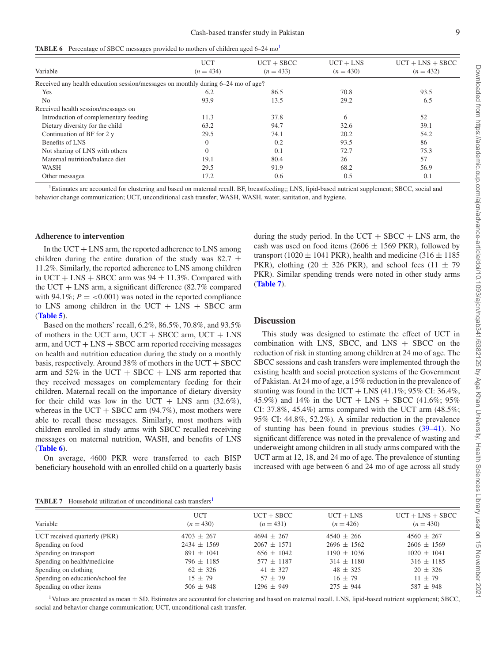<span id="page-10-1"></span>

|  | <b>TABLE 6</b> Percentage of SBCC messages provided to mothers of children aged 6–24 mo <sup>1</sup> |  |
|--|------------------------------------------------------------------------------------------------------|--|
|  |                                                                                                      |  |

|                                                                                  | <b>UCT</b>     | $UCT + SBCC$ | $UCT + LNS$ | $UCT + LNS + SBCC$ |
|----------------------------------------------------------------------------------|----------------|--------------|-------------|--------------------|
| Variable                                                                         | $(n = 434)$    | $(n = 433)$  | $(n = 430)$ | $(n = 432)$        |
| Received any health education session/messages on monthly during 6–24 mo of age? |                |              |             |                    |
| Yes                                                                              | 6.2            | 86.5         | 70.8        | 93.5               |
| N <sub>0</sub>                                                                   | 93.9           | 13.5         | 29.2        | 6.5                |
| Received health session/messages on                                              |                |              |             |                    |
| Introduction of complementary feeding                                            | 11.3           | 37.8         | 6           | 52                 |
| Dietary diversity for the child                                                  | 63.2           | 94.7         | 32.6        | 39.1               |
| Continuation of BF for 2 y                                                       | 29.5           | 74.1         | 20.2        | 54.2               |
| Benefits of LNS                                                                  | $\theta$       | 0.2          | 93.5        | 86                 |
| Not sharing of LNS with others                                                   | $\overline{0}$ | (0.1)        | 72.7        | 75.3               |
| Maternal nutrition/balance diet                                                  | 19.1           | 80.4         | 26          | 57                 |
| WASH                                                                             | 29.5           | 91.9         | 68.2        | 56.9               |
| Other messages                                                                   | 17.2           | 0.6          | 0.5         | 0.1                |

<span id="page-10-0"></span><sup>1</sup>Estimates are accounted for clustering and based on maternal recall. BF, breastfeeding;; LNS, lipid-based nutrient supplement; SBCC, social and behavior change communication; UCT, unconditional cash transfer; WASH, WASH, water, sanitation, and hygiene.

#### **Adherence to intervention**

In the  $\text{UCT} + \text{LNS}$  arm, the reported adherence to LNS among children during the entire duration of the study was 82.7  $\pm$ 11.2%. Similarly, the reported adherence to LNS among children in UCT + LNS + SBCC arm was  $94 \pm 11.3\%$ . Compared with the UCT  $+$  LNS arm, a significant difference (82.7% compared with 94.1%;  $P = 0.001$ ) was noted in the reported compliance to LNS among children in the UCT  $+$  LNS  $+$  SBCC arm (**[Table 5](#page-9-3)**).

Based on the mothers' recall, 6.2%, 86.5%, 70.8%, and 93.5% of mothers in the UCT arm,  $UCT + SBCC$  arm,  $UCT + LNS$ arm, and  $UCT + LNS + SBCC$  arm reported receiving messages on health and nutrition education during the study on a monthly basis, respectively. Around  $38\%$  of mothers in the UCT + SBCC arm and  $52\%$  in the UCT + SBCC + LNS arm reported that they received messages on complementary feeding for their children. Maternal recall on the importance of dietary diversity for their child was low in the UCT + LNS arm  $(32.6\%),$ whereas in the UCT + SBCC arm  $(94.7\%)$ , most mothers were able to recall these messages. Similarly, most mothers with children enrolled in study arms with SBCC recalled receiving messages on maternal nutrition, WASH, and benefits of LNS (**[Table 6](#page-10-1)**).

On average, 4600 PKR were transferred to each BISP beneficiary household with an enrolled child on a quarterly basis

during the study period. In the UCT  $+$  SBCC  $+$  LNS arm, the cash was used on food items (2606  $\pm$  1569 PKR), followed by transport (1020  $\pm$  1041 PKR), health and medicine (316  $\pm$  1185 PKR), clothing (20  $\pm$  326 PKR), and school fees (11  $\pm$  79 PKR). Similar spending trends were noted in other study arms (**[Table 7](#page-10-2)**).

#### **Discussion**

This study was designed to estimate the effect of UCT in combination with LNS, SBCC, and  $L$ NS + SBCC on the reduction of risk in stunting among children at 24 mo of age. The SBCC sessions and cash transfers were implemented through the existing health and social protection systems of the Government of Pakistan. At 24 mo of age, a 15% reduction in the prevalence of stunting was found in the UCT  $+$  LNS (41.1%; 95% CI: 36.4%, 45.9%) and 14% in the UCT + LNS + SBCC (41.6%; 95%) CI: 37.8%, 45.4%) arms compared with the UCT arm  $(48.5\%;$ 95% CI: 44.8%, 52.2%). A similar reduction in the prevalence of stunting has been found in previous studies [\(39–41\)](#page-12-9). No significant difference was noted in the prevalence of wasting and underweight among children in all study arms compared with the UCT arm at 12, 18, and 24 mo of age. The prevalence of stunting increased with age between 6 and 24 mo of age across all study

<span id="page-10-2"></span>

| <b>TABLE 7</b> Household utilization of unconditional cash transfers <sup>1</sup> |  |  |  |  |  |  |
|-----------------------------------------------------------------------------------|--|--|--|--|--|--|
|-----------------------------------------------------------------------------------|--|--|--|--|--|--|

| TYDLE I<br>- Frouschold utilization of unconditional cash transicis |                 |                 |                 |                    |  |  |  |  |
|---------------------------------------------------------------------|-----------------|-----------------|-----------------|--------------------|--|--|--|--|
| Variable                                                            | <b>UCT</b>      | $UCT + SBCC$    | $UCT + LNS$     | $UCT + LNS + SBCC$ |  |  |  |  |
|                                                                     | $(n = 430)$     | $(n = 431)$     | $(n = 426)$     | $(n = 430)$        |  |  |  |  |
| UCT received quarterly (PKR)                                        | $4703 \pm 267$  | $4694 + 267$    | $4540 \pm 266$  | $4560 + 267$       |  |  |  |  |
| Spending on food                                                    | $2434 \pm 1569$ | $2067 \pm 1571$ | $2696 \pm 1562$ | $2606 \pm 1569$    |  |  |  |  |
| Spending on transport                                               | $891 \pm 1041$  | $656 \pm 1042$  | $1190 \pm 1036$ | $1020 \pm 1041$    |  |  |  |  |
| Spending on health/medicine                                         | $796 \pm 1185$  | $577 \pm 1187$  | $314 \pm 1180$  | $316 \pm 1185$     |  |  |  |  |
| Spending on clothing                                                | $62 + 326$      | $41 + 327$      | $48 \pm 325$    | $20 \pm 326$       |  |  |  |  |
| Spending on education/school fee                                    | $15 + 79$       | $57 + 79$       | $16 + 79$       | $11 + 79$          |  |  |  |  |
| Spending on other items                                             | $506 \pm 948$   | $1296 \pm 949$  | $275 \pm 944$   | $587 \pm 948$      |  |  |  |  |

<span id="page-10-3"></span> $1$ Values are presented as mean  $\pm$  SD. Estimates are accounted for clustering and based on maternal recall. LNS, lipid-based nutrient supplement; SBCC, social and behavior change communication; UCT, unconditional cash transfer.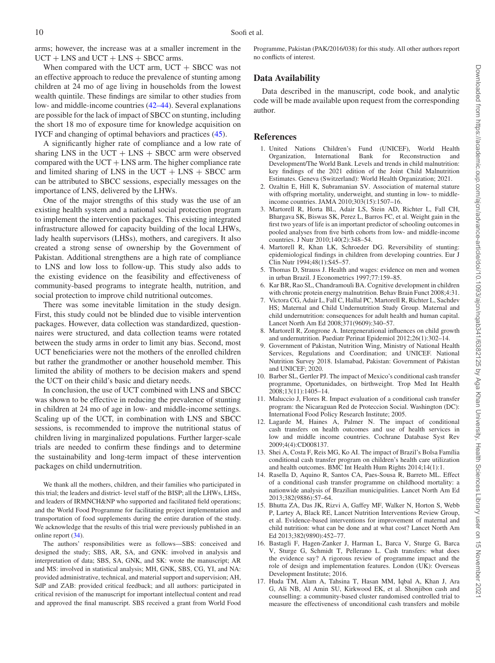arms; however, the increase was at a smaller increment in the  $UCT + LNS$  and  $UCT + LNS + SBCC$  arms.

When compared with the UCT arm,  $UCT + SBCC$  was not an effective approach to reduce the prevalence of stunting among children at 24 mo of age living in households from the lowest wealth quintile. These findings are similar to other studies from low- and middle-income countries [\(42–44\)](#page-12-10). Several explanations are possible for the lack of impact of SBCC on stunting, including the short 18 mo of exposure time for knowledge acquisition on IYCF and changing of optimal behaviors and practices [\(45\)](#page-12-11).

A significantly higher rate of compliance and a low rate of sharing LNS in the UCT  $+$  LNS  $+$  SBCC arm were observed compared with the  $UCT + LNS$  arm. The higher compliance rate and limited sharing of LNS in the UCT  $+$  LNS  $+$  SBCC arm can be attributed to SBCC sessions, especially messages on the importance of LNS, delivered by the LHWs.

One of the major strengths of this study was the use of an existing health system and a national social protection program to implement the intervention packages. This existing integrated infrastructure allowed for capacity building of the local LHWs, lady health supervisors (LHSs), mothers, and caregivers. It also created a strong sense of ownership by the Government of Pakistan. Additional strengthens are a high rate of compliance to LNS and low loss to follow-up. This study also adds to the existing evidence on the feasibility and effectiveness of community-based programs to integrate health, nutrition, and social protection to improve child nutritional outcomes.

There was some inevitable limitation in the study design. First, this study could not be blinded due to visible intervention packages. However, data collection was standardized, questionnaires were structured, and data collection teams were rotated between the study arms in order to limit any bias. Second, most UCT beneficiaries were not the mothers of the enrolled children but rather the grandmother or another household member. This limited the ability of mothers to be decision makers and spend the UCT on their child's basic and dietary needs.

In conclusion, the use of UCT combined with LNS and SBCC was shown to be effective in reducing the prevalence of stunting in children at 24 mo of age in low- and middle-income settings. Scaling up of the UCT, in combination with LNS and SBCC sessions, is recommended to improve the nutritional status of children living in marginalized populations. Further larger-scale trials are needed to confirm these findings and to determine the sustainability and long-term impact of these intervention packages on child undernutrition.

We thank all the mothers, children, and their families who participated in this trial; the leaders and district- level staff of the BISP; all the LHWs, LHSs, and leaders of IRMNCH&NP who supported and facilitated field operations; and the World Food Programme for facilitating project implementation and transportation of food supplements during the entire duration of the study. We acknowledge that the results of this trial were previously published in an online report [\(34\)](#page-12-4).

The authors' responsibilities were as follows—SBS: conceived and designed the study; SBS, AR, SA, and GNK: involved in analysis and interpretation of data; SBS, SA, GNK, and SK: wrote the manuscript; AR and MS: involved in statistical analysis; MH, GNK, SBS, CG, YI, and NA: provided administrative, technical, and material support and supervision; AH, SdP and ZAB: provided critical feedback; and all authors: participated in critical revision of the manuscript for important intellectual content and read and approved the final manuscript. SBS received a grant from World Food

Programme, Pakistan (PAK/2016/038) for this study. All other authors report no conflicts of interest.

#### **Data Availability**

Data described in the manuscript, code book, and analytic code will be made available upon request from the corresponding author.

#### **References**

- <span id="page-11-0"></span>1. United Nations Children's Fund (UNICEF), World Health Organization, International Bank for Reconstruction and Development/The World Bank. Levels and trends in child malnutrition: key findings of the 2021 edition of the Joint Child Malnutrition Estimates. Geneva (Switzerland): World Health Organization; 2021.
- <span id="page-11-1"></span>2. Ozaltin E, Hill K, Subramanian SV. Association of maternal stature with offspring mortality, underweight, and stunting in low- to middleincome countries. JAMA 2010;303(15):1507–16.
- 3. Martorell R, Horta BL, Adair LS, Stein AD, Richter L, Fall CH, Bhargava SK, Biswas SK, Perez L, Barros FC, et al. Weight gain in the first two years of life is an important predictor of schooling outcomes in pooled analyses from five birth cohorts from low- and middle-income countries. J Nutr 2010;140(2):348–54.
- 4. Martorell R, Khan LK, Schroeder DG. Reversibility of stunting: epidemiological findings in children from developing countries. Eur J Clin Nutr 1994;48(1):S45–57.
- 5. Thomas D, Strauss J. Health and wages: evidence on men and women in urban Brazil. J Econometrics 1997;77:159–85.
- 6. Kar BR, Rao SL, Chandramouli BA. Cognitive development in children with chronic protein energy malnutrition. Behav Brain Funct 2008;4:31.
- 7. Victora CG, Adair L, Fall C, Hallal PC, Martorell R, Richter L, Sachdev HS; Maternal and Child Undernutrition Study Group. Maternal and child undernutrition: consequences for adult health and human capital. Lancet North Am Ed 2008;371(9609):340–57.
- Martorell R, Zongrone A. Intergenerational influences on child growth and undernutrition. Paediatr Perinat Epidemiol 2012;26(1):302–14.
- <span id="page-11-2"></span>9. Government of Pakistan, Nutrition Wing, Ministry of National Health Services, Regulations and Coordination; and UNICEF. National Nutrition Survey 2018. Islamabad, Pakistan: Government of Pakistan and UNICEF; 2020.
- <span id="page-11-3"></span>10. Barber SL, Gertler PJ. The impact of Mexico's conditional cash transfer programme, Oportunidades, on birthweight. Trop Med Int Health 2008;13(11):1405–14.
- 11. Maluccio J, Flores R. Impact evaluation of a conditional cash transfer program: the Nicaraguan Red de Proteccion Social. Washington (DC): International Food Policy Research Institute; 2005.
- 12. Lagarde M, Haines A, Palmer N. The impact of conditional cash transfers on health outcomes and use of health services in low and middle income countries. Cochrane Database Syst Rev 2009;4(4):CD008137.
- 13. Shei A, Costa F, Reis MG, Ko AI. The impact of Brazil's Bolsa Família conditional cash transfer program on children's health care utilization and health outcomes. BMC Int Health Hum Rights 2014;14(1):1.
- 14. Rasella D, Aquino R, Santos CA, Paes-Sousa R, Barreto ML. Effect of a conditional cash transfer programme on childhood mortality: a nationwide analysis of Brazilian municipalities. Lancet North Am Ed 2013;382(9886):57–64.
- 15. Bhutta ZA, Das JK, Rizvi A, Gaffey MF, Walker N, Horton S, Webb P, Lartey A, Black RE, Lancet Nutrition Interventions Review Group, et al. Evidence-based interventions for improvement of maternal and child nutrition: what can be done and at what cost? Lancet North Am Ed 2013;382(9890):452–77.
- 16. Bastagli F, Hagen-Zanker J, Harman L, Barca V, Sturge G, Barca V, Sturge G, Schmidt T, Pellerano L. Cash transfers: what does the evidence say? A rigorous review of programme impact and the role of design and implementation features. London (UK): Overseas Development Institute; 2016.
- <span id="page-11-4"></span>17. Huda TM, Alam A, Tahsina T, Hasan MM, Iqbal A, Khan J, Ara G, Ali NB, Al Amin SU, Kirkwood EK, et al. Shonjibon cash and counselling: a community-based cluster randomised controlled trial to measure the effectiveness of unconditional cash transfers and mobile